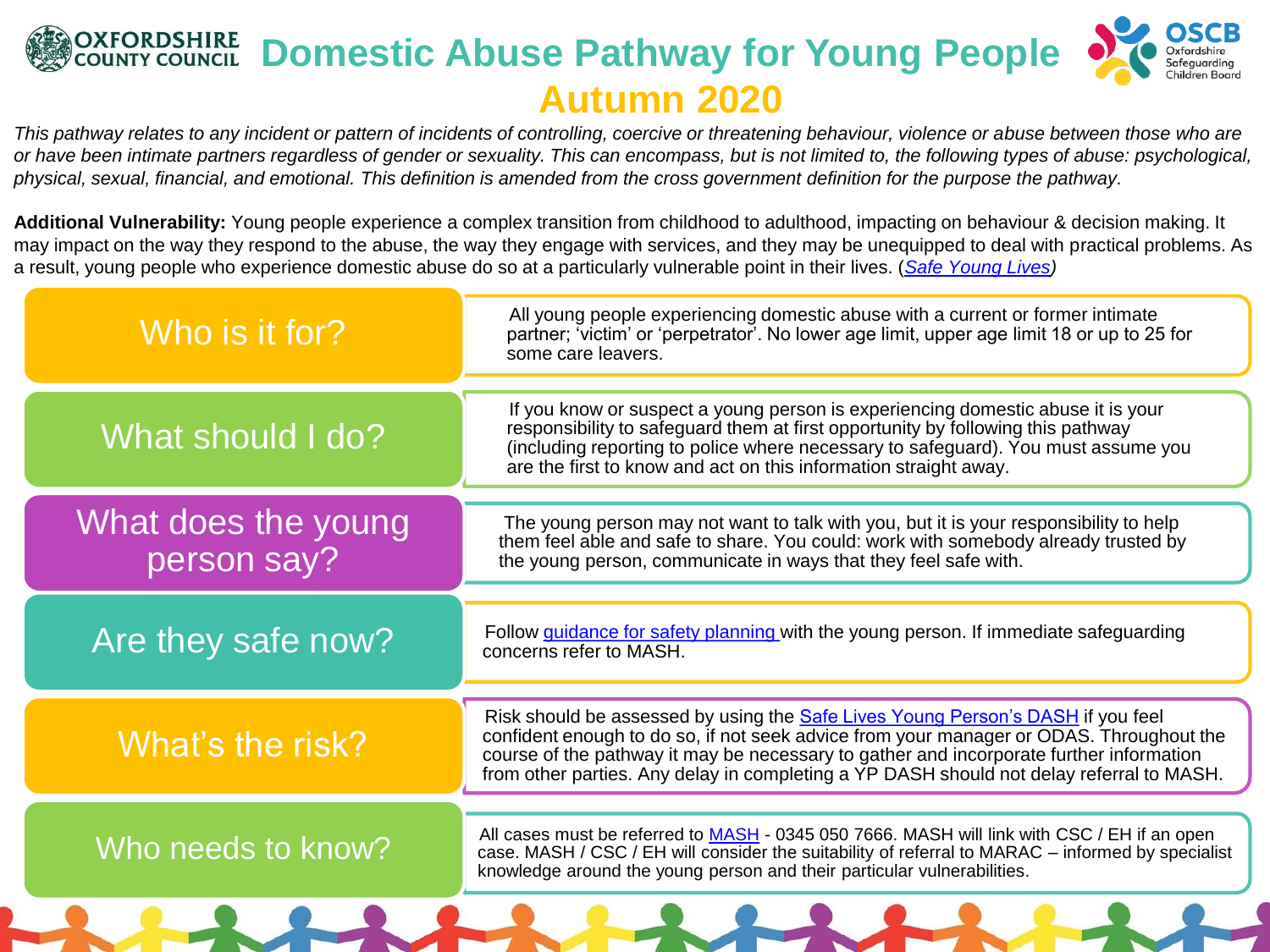## **OXFORDSHIRE Domestic Abuse Pathway for Young People Autumn 2020**

*This pathway relates to any incident or pattern of incidents of controlling, coercive or threatening behaviour, violence or abuse between those who are or have been intimate partners regardless of gender or sexuality. This can encompass, but is not limited to, the following types of abuse: psychological, physical, sexual, financial, and emotional. This definition is amended from the cross government definition for the purpose the pathway.*

**Additional Vulnerability:** Young people experience a complex transition from childhood to adulthood, impacting on behaviour & decision making. It may impact on the way they respond to the abuse, the way they engage with services, and they may be unequipped to deal with practical problems. As a result, young people who experience domestic abuse do so at a particularly vulnerable point in their lives. (*[Safe Young Lives\)](http://safelives.org.uk/sites/default/files/resources/Safe%20Young%20Lives%20web.pdf)*

| Who is it for?                     | All young people experiencing domestic abuse with a current or former intimate<br>partner; 'victim' or 'perpetrator'. No lower age limit, upper age limit 18 or up to 25 for<br>some care leavers.                                                                                                                                                                       |
|------------------------------------|--------------------------------------------------------------------------------------------------------------------------------------------------------------------------------------------------------------------------------------------------------------------------------------------------------------------------------------------------------------------------|
| What should I do?                  | If you know or suspect a young person is experiencing domestic abuse it is your<br>responsibility to safeguard them at first opportunity by following this pathway<br>(including reporting to police where necessary to safeguard). You must assume you<br>are the first to know and act on this information straight away.                                              |
| What does the young<br>person say? | The young person may not want to talk with you, but it is your responsibility to help<br>them feel able and safe to share. You could: work with somebody already trusted by<br>the young person, communicate in ways that they feel safe with.                                                                                                                           |
| Are they safe now?                 | Follow guidance for safety planning with the young person. If immediate safeguarding<br>concerns refer to MASH.                                                                                                                                                                                                                                                          |
| What's the risk?                   | Risk should be assessed by using the <b>Safe Lives Young Person's DASH</b> if you feel<br>confident enough to do so, if not seek advice from your manager or ODAS. Throughout the<br>course of the pathway it may be necessary to gather and incorporate further information<br>from other parties. Any delay in completing a YP DASH should not delay referral to MASH. |
| Who needs to know?                 | All cases must be referred to MASH - 0345 050 7666. MASH will link with CSC / EH if an open<br>case. MASH / CSC / EH will consider the suitability of referral to MARAC – informed by specialist<br>knowledge around the young person and their particular vulnerabilities.                                                                                              |
|                                    |                                                                                                                                                                                                                                                                                                                                                                          |